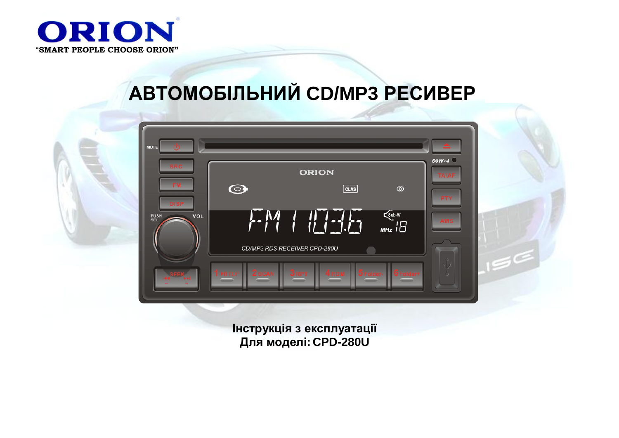

# **АВТОМОБІЛЬНИЙ СD/MP3 РЕСИВЕР**

| <b>MUTE</b>                                     |                                                                                                               |  |
|-------------------------------------------------|---------------------------------------------------------------------------------------------------------------|--|
| <b>SRC</b><br>FM.                               | $50W \times 4$<br><b>ORION</b><br><b>TA/AF</b><br>$\bullet$<br>$\circledcirc$<br>$\boxed{\text{CLAS}}$        |  |
| <b>DISP</b><br>VOL<br><b>PUSH</b><br><b>SEL</b> | <b>PTY</b><br>$\frac{\mathcal{L}_{\text{sub-W}}}{\mathcal{L}_{\text{min}}}}$<br>$F-M + 11 - 16$<br><b>AMS</b> |  |
|                                                 | CD/MP3 RDS RECEIVER CPD-280U                                                                                  |  |
|                                                 | <b>1 PILTOP</b><br>3RPT<br>4 <sub>RDM</sub><br>5 Folder- <b>10 Folder+</b><br><b>ZSCAN</b><br>-               |  |

Нструкція з експлуатації **Ⱦɥɹɦɨɞɟɥɿ: CPD-280U**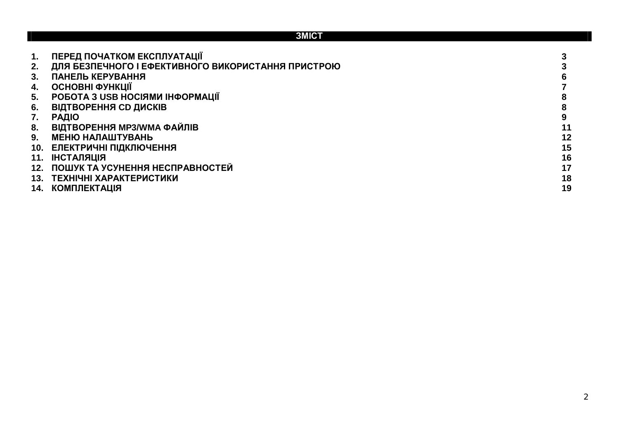## 3MICT 1. ПЕРЕД ПОЧАТКОМ ЕКСПЛУАТАЦІЇ<br>2. ДЛЯ БЕЗПЕЧНОГО І ЕФЕКТИВНОГО ВИКОРИСТАННЯ ПРИСТРОЮ **2. ȾɅəȻȿɁɉȿɑɇɈȽɈȱȿɎȿɄɌɂȼɇɈȽɈȼɂɄɈɊɂɋɌȺɇɇəɉɊɂɋɌɊɈɘ 3 3. ɉȺɇȿɅɖɄȿɊɍȼȺɇɇə 6 4. ɈɋɇɈȼɇȱɎɍɇɄɐȱȲ 7 5. ɊɈȻɈɌȺɁ USB ɇɈɋȱəɆɂȱɇɎɈɊɆȺɐȱȲ 8 6. ȼȱȾɌȼɈɊȿɇɇə CD ȾɂɋɄȱȼ 8 7. ɊȺȾȱɈ 9 8. ȼȱȾɌȼɈɊȿɇɇə MP3/WMA ɎȺɃɅȱȼ 11 9. МЕНЮ НАЛАШТУВАНЬ 10. ȿɅȿɄɌɊɂɑɇȱɉȱȾɄɅɘɑȿɇɇə 15** 11. **ІНСТАЛЯЦІЯ** 12. ПОШУК ТА УСУНЕННЯ НЕСПРАВНОСТЕЙ<br>13. ТЕХНІЧНІ ХАРАКТЕРИСТИКИ 13. ТЕХНІЧНІ ХАРАКТЕРИСТИКИ **14. ɄɈɆɉɅȿɄɌȺɐȱə 19**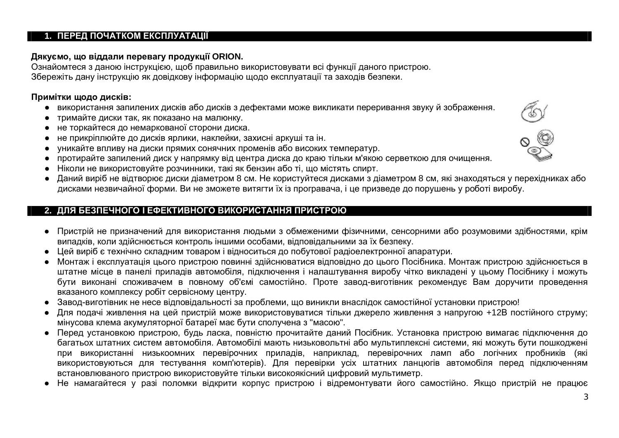## 1. ПЕРЕД ПОЧАТКОМ ЕКСПЛУАТАЦІЇ

#### $\mu$ якуємо, що віддали перевагу продукції ORION.

Ознайомтеся з даною інструкцією, щоб правильно використовувати всі функції даного пристрою. Збережіть дану інструкцію як довідкову інформацію щодо експлуатації та заходів безпеки.

#### Примітки щодо дисків:

- використання запилених дисків або дисків з дефектами може викликати переривання звуку й зображення.
- тримайте диски так, як показано на малюнку.
- не торкайтеся до немаркованої сторони диска.
- не прикріплюйте до дисків ярлики, наклейки, захисні аркуші та ін.
- уникайте впливу на диски прямих сонячних променів або високих температур.
- протирайте запилений диск у напрямку від центра диска до краю тільки м'якою серветкою для очищення.
- Ніколи не використовуйте розчинники, такі як бензин або ті, що містять спирт.
- Даний виріб не відтворює диски діаметром 8 см. Не користуйтеся дисками з діаметром 8 см, які знаходяться у перехідниках або дисками незвичайної форми. Ви не зможете витягти їх із програвача, і це призведе до порушень у роботі виробу.

# 2. ДЛЯ БЕЗПЕЧНОГО І ЕФЕКТИВНОГО ВИКОРИСТАННЯ ПРИСТРОЮ

- Пристрій не призначений для використання людьми з обмеженими фізичними, сенсорними або розумовими здібностями, крім випадків, коли здійснюється контроль іншими особами, відповідальними за їх безпеку.
- Цей виріб є технічно складним товаром і відноситься до побутової радіоелектронної апаратури.
- Монтаж і експлуатація цього пристрою повинні здійснюватися відповідно до цього Посібника. Монтаж пристрою здійснюється в штатне місце в панелі приладів автомобіля, підключення і налаштування виробу чітко викладені у цьому Посібнику і можуть бути виконані споживачем в повному об'ємі самостійно. Проте завод-виготівник рекомендує Вам доручити проведення вказаного комплексу робіт сервісному центру.
- Завод-виготівник не несе відповідальності за проблеми, що виникли внаслідок самостійної установки пристрою!
- Для подачі живлення на цей пристрій може використовуватися тільки джерело живлення з напругою +12В постійного струму; мінусова клема акумуляторної батареї має бути сполучена з "масою".
- Перед установкою пристрою, будь ласка, повністю прочитайте даний Посібник. Установка пристрою вимагає підключення до багатьох штатних систем автомобіля. Автомобілі мають низьковольтні або мультиплексні системи, які можуть бути пошкоджені при використанні низькоомних перевірочних приладів, наприклад, перевірочних ламп або логічних пробників (які використовуються для тестування комп'ютерів). Для перевірки усіх штатних ланцюгів автомобіля перед підключенням встановлюваного пристрою використовуйте тільки високоякісний цифровий мультиметр.
- Не намагайтеся у разі поломки відкрити корпус пристрою і відремонтувати його самостійно. Якщо пристрій не працює

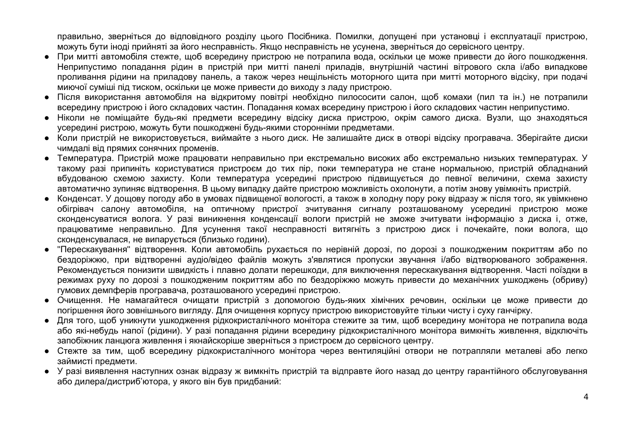правильно, зверніться до відповідного розділу цього Посібника. Помилки, допущені при установці і експлуатації пристрою, можуть бути іноді прийняті за його несправність. Якщо несправність не усунена, зверніться до сервісного центру.

- При митті автомобіля стежте, щоб всередину пристрою не потрапила вода, оскільки це може привести до його пошкодження. Неприпустимо попадання рідин в пристрій при митті панелі приладів, внутрішній частині вітрового скла і/або випадкове проливання рідини на приладову панель, а також через нещільність моторного щита при митті моторного відсіку, при подачі миючої суміші під тиском, оскільки це може привести до виходу з ладу пристрою.
- Після використання автомобіля на відкритому повітрі необхідно пилососити салон, щоб комахи (пил та ін.) не потрапили всередину пристрою і його складових частин. Попадання комах всередину пристрою і його складових частин неприпустимо.
- Ніколи не поміщайте будь-які предмети всередину відсіку диска пристрою, окрім самого диска. Вузли, що знаходяться усередині ристрою, можуть бути пошкоджені будь-якими сторонніми предметами.
- Коли пристрій не використовується, виймайте з нього диск. Не залишайте диск в отворі відсіку програвача, Зберігайте диски чимдалі від прямих сонячних променів.
- Температура. Пристрій може працювати неправильно при екстремально високих або екстремально низьких температурах. У такому разі припиніть користуватися пристроєм до тих пір, поки температура не стане нормальною, пристрій обладнаний вбудованою схемою захисту. Коли температура усередині пристрою підвищується до певної величини, схема захисту автоматично зупиняє відтворення. В цьому випадку дайте пристрою можливість охолонути, а потім знову увімкніть пристрій.
- Конденсат. У дощову погоду або в умовах підвищеної вологості, а також в холодну пору року відразу ж після того, як увімкнено обігрівач салону автомобіля, на оптичному пристрої зчитування сигналу розташованому усередині пристрою може сконденсуватися волога. У разі виникнення конденсації вологи пристрій не зможе зчитувати інформацію з диска і, отже, працюватиме неправильно. Для усунення такої несправності витягніть з пристрою диск і почекайте, поки волога, що сконденсувалася, не випарується (близько години).
- "Перескакування" відтворення. Коли автомобіль рухається по нерівній дорозі, по дорозі з пошкодженим покриттям або по бездоріжжю, при відтворенні аудіо/відео файлів можуть з'являтися пропуски звучання і/або відтворюваного зображення. Рекомендується понизити швидкість і плавно долати перешкоди, для виключення перескакування відтворення. Часті поїздки в режимах руху по дорозі з пошкодженим покриттям або по бездоріжжю можуть привести до механічних ушкоджень (обриву) гумових демпферів програвача, розташованого усередині пристрою.
- Очищення. Не намагайтеся очищати пристрій з допомогою будь-яких хімічних речовин, оскільки це може привести до погіршення його зовнішнього вигляду. Для очищення корпусу пристрою використовуйте тільки чисту і суху ганчірку.
- Для того, щоб уникнути ушкодження рідкокристалічного монітора стежите за тим, щоб всередину монітора не потрапила вода або які-небудь напої (рідини). У разі попадання рідини всередину рідкокристалічного монітора вимкніть живлення, відключіть запобіжник ланцюга живлення і якнайскоріше зверніться з пристроєм до сервісного центру.
- Стежте за тим, щоб всередину рідкокристалічного монітора через вентиляційні отвори не потрапляли металеві або легко займисті предмети.
- У разі виявлення наступних ознак відразу ж вимкніть пристрій та відправте його назад до центру гарантійного обслуговування або дилера/дистриб'ютора, у якого він був придбаний: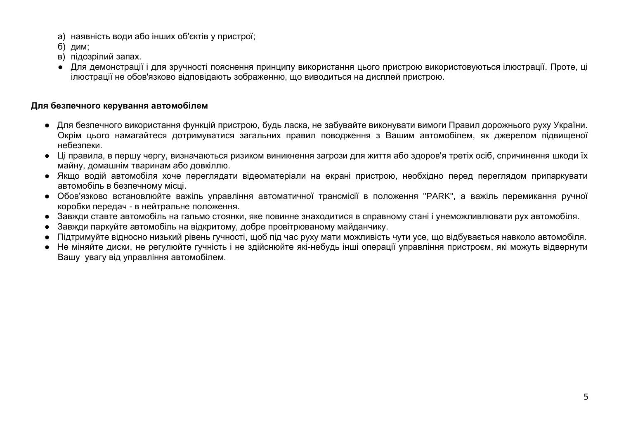а) наявність води або інших об'єктів у пристрої;

б) дим;

- в) підозрілий запах.
- Для демонстрації і для зручності пояснення принципу використання цього пристрою використовуються ілюстрації. Проте, ці ілюстрації не обов'язково відповідають зображенню, що виводиться на дисплей пристрою.

# Для безпечного керування автомобілем

- Для безпечного використання функцій пристрою, будь ласка, не забувайте виконувати вимоги Правил дорожнього руху України. Окрім цього намагайтеся дотримуватися загальних правил поводження з Вашим автомобілем, як джерелом підвищеної небезпеки.
- Ці правила, в першу чергу, визначаються ризиком виникнення загрози для життя або здоров'я третіх осіб, спричинення шкоди їх майну, домашнім тваринам або довкіллю.
- Якщо водій автомобіля хоче переглядати відеоматеріали на екрані пристрою, необхідно перед переглядом припаркувати автомобіль в безпечному місці.
- Обов'язково встановлюйте важіль управління автоматичної трансмісії в положення "PARK", а важіль перемикання ручної коробки передач - в нейтральне положення.
- Завжди ставте автомобіль на гальмо стоянки, яке повинне знаходитися в справному стані і унеможливлювати рух автомобіля,
- Завжди паркуйте автомобіль на відкритому, добре провітрюваному майданчику.
- Підтримуйте відносно низький рівень гучності, щоб під час руху мати можливість чути усе, що відбувається навколо автомобіля.
- Не міняйте диски, не регулюйте гучність і не здійснюйте які-небудь інші операції управління пристроєм, які можуть відвернути Вашу увагу від управління автомобілем.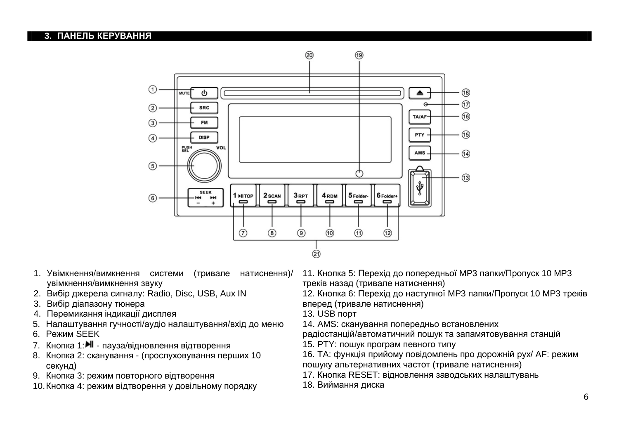#### **3. ПАНЕЛЬ КЕРУВАННЯ**



- 1. Увімкнення/вимкнення системи (тривале натиснення)/ увімкнення/вимкнення звуку
- 2. Вибір джерела сигналу: Radio, Disc, USB, Aux IN
- 3. Вибір діапазону тюнера
- 4. Перемикання індикації дисплея
- 5. Налаштування гучності/аудіо налаштування/вхід до меню
- 6. Режим SEEK
- 7. Кнопка 1:  $\blacksquare$  пауза/відновлення відтворення
- 8. Кнопка 2: сканування (прослуховування перших 10 секунд)
- 9. Кнопка 3: режим повторного відтворення
- 10. Кнопка 4: режим відтворення у довільному порядку
- 11. Кнопка 5: Перехід до попередньої МРЗ папки/Пропуск 10 МРЗ треків назад (тривале натиснення)
- 12. Кнопка 6: Перехід до наступної МР3 папки/Пропуск 10 МР3 треків вперед (тривале натиснення)
- 13. USB nopt
- 14. AMS: сканування попередньо встановлених
- радіостанцій/автоматичний пошук та запамятовування станцій
- 15. PTY: пошук програм певного типу
- 16. ТА: функція прийому повідомлень про дорожній рух/ АF: режим пошуку альтернативних частот (тривале натиснення)
- 17. Кнопка RESET: відновлення заводських налаштувань
- 18. Виймання диска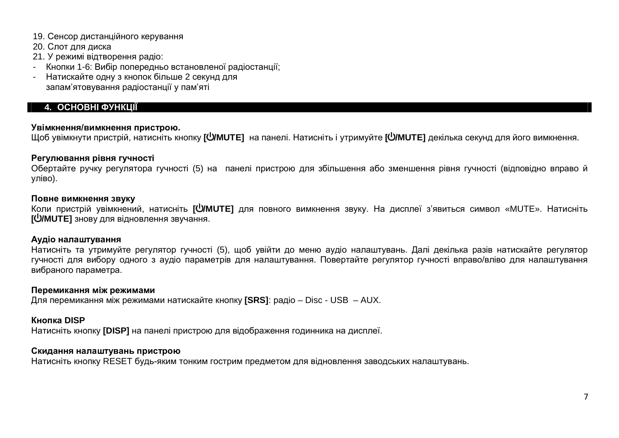- 19. Сенсор дистанційного керування
- 20. Слот для диска
- 21. У режимі відтворення радіо:
- Кнопки 1-6: Вибір попередньо встановленої радіостанції;
- Натискайте одну з кнопок більше 2 секунд для запам'ятовування радіостанції у пам'яті

# **4. ОСНОВНІ ФУНКЦІЇ**

#### Увімкнення/вимкнення пристрою.

Шоб увімкнути пристрій, натисніть кнопку **[ <u>Ф</u>ИИОТЕ]** на панелі. Натисніть і утримуйте **[ ФИОДИ** декілька секунд для його вимкнення.

# Регулювання рівня гучності

Обертайте ручку регулятора гучності (5) на панелі пристрою для збільшення або зменшення рівня гучності (відповідно вправо й vліво).

## Повне вимкнення звуку

Коли пристрій увімкнений, натисніть **[<sup>U</sup>/MUTE]** для повного вимкнення звуку. На дисплеї з'явиться символ «MUTE». Натисніть **[ <u>W</u>/MUTE**] знову для відновлення звучання.

## **Аудіо налаштування**

Натисніть та утримуйте регулятор гучності (5), щоб увійти до меню аудіо налаштувань. Далі декілька разів натискайте регулятор гучності для вибору одного з аудіо параметрів для налаштування. Повертайте регулятор гучності вправо/вліво для налаштування вибраного параметра.

# Перемикання між режимами

Для перемикання між режимами натискайте кнопку **[SRS]**: paдio – Disc - USB – AUX.

# **Ʉɧɨɩɤɚ DISP**

Натисніть кнопку **[DISP]** на панелі пристрою для відображення годинника на дисплеї.

# Скидання налаштувань пристрою

Натисніть кнопку RESET будь-яким тонким гострим предметом для відновлення заводських налаштувань.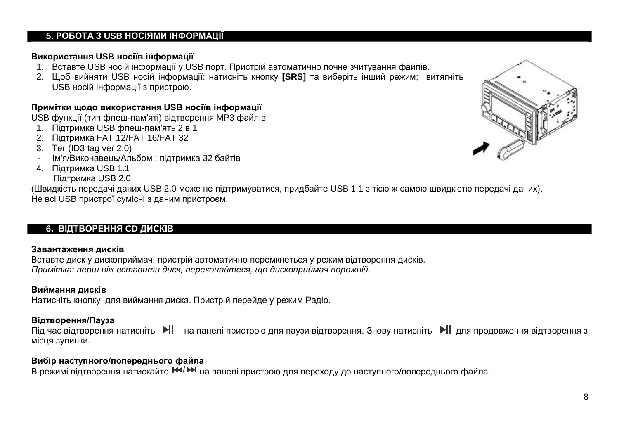#### $5.$  РОБОТА 3 USB НОСІЯМИ ІНФОРМАЦІЇ

#### Використання USB носіїв інформації

- 1. Вставте USB носій інформації у USB порт. Пристрій автоматично почне зчитування файлів.
- 2. Щоб вийняти USB носій інформації: натисніть кнопку **[SRS]** та виберіть інший режим; витягніть USB носій інформації з пристрою.

## Примітки щодо використання USB носіїв інформації

USB функції (тип флеш-пам'яті) відтворення MP3 файлів

- 1. Підтримка USB флеш-пам'ять 2 в 1
- 2. Підтримка FAT 12/FAT 16/FAT 32
- $3.$  Ter (ID3 tag ver  $2.0$ )
- Им'я/Виконавець/Альбом : підтримка 32 байтів
- 4. Підтримка USB 1.1

Підтримка USB 2.0

(Швидкість передачі даних USB 2.0 може не підтримуватися, придбайте USB 1.1 з тією ж самою швидкістю передачі даних). Не всі USB пристрої сумісні з даним пристроєм.

# $6.$  **ВІДТВОРЕННЯ СD ДИСКІВ**

#### Завантаження дисків

Вставте диск у дископриймач, пристрій автоматично перемкнеться у режим відтворення дисків.  $\Pi$ римітка: перш ніж вставити диск, переконайтеся, що дископриймач порожній.

#### Виймання дисків

Натисніть кнопку для виймання диска. Пристрій перейде у режим Радіо.

## **Відтворення/Пауза**

Під час відтворення натисніть → на панелі пристрою для паузи відтворення. Знову натисніть → для продовження відтворення з місця зупинки.

#### **Вибір наступного/попереднього файла**

В режимі відтворення натискайте  $\frac{|\cdot|}{\cdot}|$  на панелі пристрою для переходу до наступного/попереднього файла.

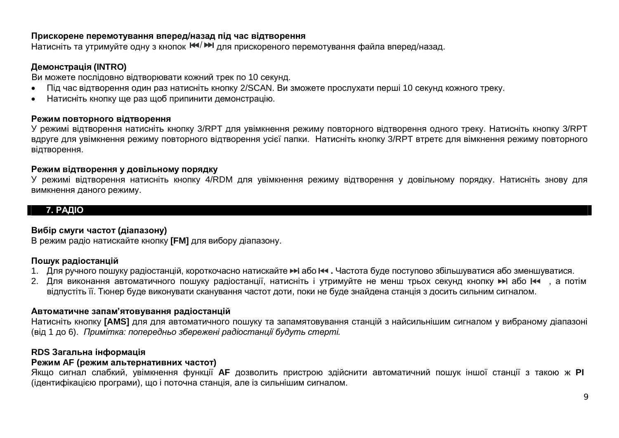#### Прискорене перемотування вперед/назад під час відтворення

Натисніть та утримуйте одну з кнопок  $\blacktriangleright$   $\blacktriangleright$  для прискореного перемотування файла вперед/назад.

# **Ⱦɟɦɨɧɫɬɪɚɰɿɹ (INTRO)**

Ви можете послідовно відтворювати кожний трек по 10 секунд.

- Під час відтворення один раз натисніть кнопку 2/SCAN. Ви зможете прослухати перші 10 секунд кожного треку.
- Натисніть кнопку ще раз щоб припинити демонстрацію.

#### Режим повторного відтворення

У режимі відтворення натисніть кнопку 3/RPT для увімкнення режиму повторного відтворення одного треку. Натисніть кнопку 3/RPT вдруге для увімкнення режиму повторного відтворення усієї папки. Натисніть кнопку З/RPT втретє для вімкнення режиму повторного відтворення.

#### Режим відтворення у довільному порядку

У режимі відтворення натисніть кнопку 4/RDM для увімкнення режиму відтворення у довільному порядку. Натисніть знову для вимкнення даного режиму.

# **7. РАДЮ**

## **Вибір смуги частот (діапазону)**

В режим радіо натискайте кнопку **[FM]** для вибору діапазону.

## Пошук радіостанцій

- 1. Для ручного пошуку радіостанцій, короткочасно натискайте >> або << Частота буде поступово збільшуватися або зменшуватися.
- 2. Для виконання автоматичного пошуку радіостанції, натисніть і утримуйте не менш трьох секунд кнопку > або < , а потім відпустіть її. Тюнер буде виконувати сканування частот доти, поки не буде знайдена станція з досить сильним сигналом.

## Автоматичне запам'ятовування радіостанцій

Натисніть кнопку **[AMS]** для для автоматичного пошуку та запамятовування станцій з найсильнішим сигналом у вибраному діапазоні (від 1 до 6). *Примітка: попередньо збережені радіостанції будуть стерті.* 

## **RDS Загальна інформація**

#### Режим АF (режим альтернативних частот)

Якщо сигнал слабкий, увімкнення функції АF дозволить пристрою здійснити автоматичний пошук іншої станції з такою ж PI (ідентифікацією програми), що і поточна станція, але із сильнішим сигналом.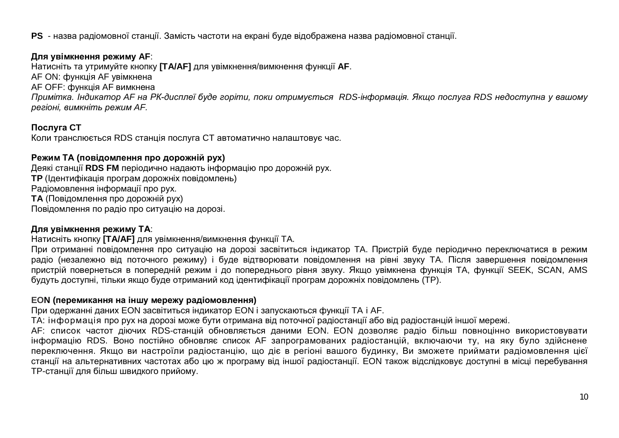**PS** - назва радіомовної станції. Замість частоти на екрані буде відображена назва радіомовної станції.

## **Для увімкнення режиму АF:**

Натисніть та утримуйте кнопку **[TA/AF]** для увімкнення/вимкнення функції **АF**.

AF ON: функція AF увімкнена

AF OFF: ФУНКЦІЯ АГ ВИМКНЕНА

*ɉɪɢɦɿɬɤɚ. ȱɧɞɢɤɚɬɨɪ AF ɧɚɊɄɞɢɫɩɥɟʀɛɭɞɟɝɨɪɿɬɢ, ɩɨɤɢɨɬɪɢɦɭɽɬɶɫɹ RDS-ɿɧɮɨɪɦɚɰɿɹ. əɤɳɨɩɨɫɥɭɝɚ RDS ɧɟɞɨɫɬɭɩɧɚɭɜɚɲɨɦɭ*  $peziohi$ , вимкніть режим АF.

## **Послуга СТ**

Коли транслюється RDS станція послуга СТ автоматично налаштовує час.

#### Режим ТА (повідомлення про дорожній рух)

Деякі станції RDS FM періодично надають інформацію про дорожній рух. **ТР** (Ідентифікація програм дорожніх повідомлень) Радіомовлення інформації про рух. ТА (Повідомлення про дорожній рух) Повідомлення по радіо про ситуацію на дорозі.

## **Для увімкнення режиму ТА:**

Натисніть кнопку **[TA/AF]** для увімкнення/вимкнення функції ТА.

При отриманні повідомлення про ситуацію на дорозі засвітиться індикатор ТА. Пристрій буде періодично переключатися в режим радіо (незалежно від поточного режиму) і буде відтворювати повідомлення на рівні звуку ТА. Після завершення повідомлення пристрій повернеться в попередній режим і до попереднього рівня звуку. Якщо увімкнена функція ТА, функції SEEK, SCAN, AMS будуть доступні, тільки якщо буде отриманий код ідентифікації програм дорожніх повідомлень (ТР).

## **ЕОН (перемикання на іншу мережу радіомовлення)**

При одержанні даних EON засвітиться індикатор EON і запускаються функції ТА і АF.

ТА: інформація про рух на дорозі може бути отримана від поточної радіостанції або від радіостанцій іншої мережі.

АF: список частот діючих RDS-станцій обновляється даними EON. EON дозволяє радіо більш повноцінно використовувати інформацію RDS. Воно постійно обновляє список АF запрограмованих радіостанцій, включаючи ту, на яку було здійснене переключення. Якщо ви настроїли радіостанцію, що діє в регіоні вашого будинку, Ви зможете приймати радіомовлення цієї станції на альтернативних частотах або цю ж програму від іншої радіостанції. EON також відслідковує доступні в місці перебування ТР-станції для більш швидкого прийому.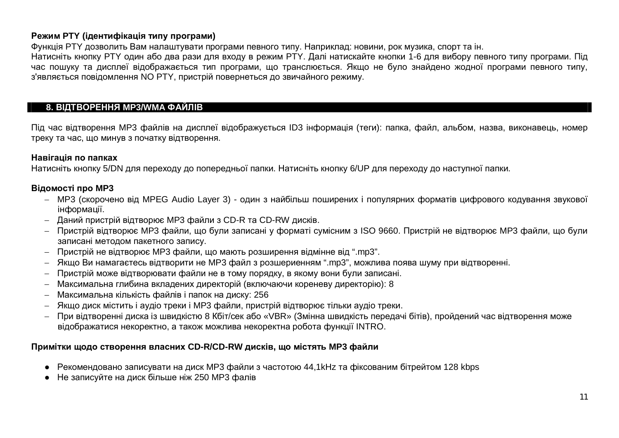## Режим РТҮ (**ідентифікація типу програми**)

Функція РТУ дозволить Вам налаштувати програми певного типу. Наприклад: новини, рок музика, спорт та ін.

Натисніть кнопку РТУ один або два рази для входу в режим РТУ. Далі натискайте кнопки 1-6 для вибору певного типу програми. Під час пошуку та дисплеї відображається тип програми, що транслюється. Якщо не було знайдено жодної програми певного типу, з'являється повідомлення NO PTY, пристрій повернеться до звичайного режиму.

# **8. ȼȱȾɌȼɈɊȿɇɇə MP3/WMA ɎȺɃɅȱȼ**

Під час відтворення МРЗ файлів на дисплеї відображується ID3 інформація (теги): папка, файл, альбом, назва, виконавець, номер треку та час, шо минув з початку відтворення.

#### Навігація по папках

Натисніть кнопку 5/DN для переходу до попередньої папки. Натисніть кнопку 6/UP для переходу до наступної папки.

# **Відомості про МРЗ**

- MP3 (скорочено від MPEG Audio Layer 3) один з найбільш поширених і популярних форматів цифрового кодування звукової інформації.
- Даний пристрій відтворює MP3 файли з CD-R та CD-RW дисків.
- Пристрій відтворює MP3 файли, що були записані у форматі сумісним з ISO 9660. Пристрій не відтворює MP3 файли, що були записані методом пакетного запису.
- Пристрій не відтворює MP3 файли, що мають розширення відмінне від ".mp3".
- Якщо Ви намагаєтесь відтворити не МР3 файл з розшериенням ".mp3", можлива поява шуму при відтворенні.
- Пристрій може відтворювати файли не в тому порядку, в якому вони були записані.
- Максимальна глибина вкладених директорій (включаючи кореневу директорію): 8
- Максимальна кількість файлів і папок на диску: 256
- Якщо диск містить і аудіо треки і МР3 файли, пристрій відтворює тільки аудіо треки.
- При відтворенні диска із швидкістю 8 Кбіт/сек або «VBR» (Змінна швидкість передачі бітів), пройдений час відтворення може відображатися некоректно, а також можлива некоректна робота функції INTRO.

# **Примітки щодо створення власних CD-R/CD-RW дисків, що містять МР3 файли**

- Рекомендовано записувати на диск МРЗ файли з частотою 44,1кНz та фіксованим бітрейтом 128 kbps
- Не записуйте на диск більше ніж 250 MP3 фалів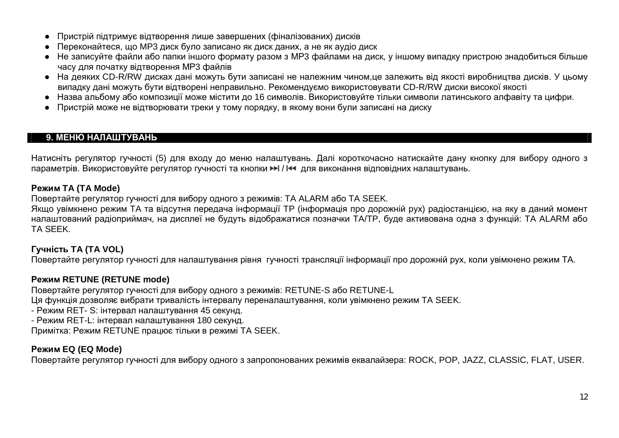- Пристрій підтримує відтворення лише завершених (фіналізованих) дисків
- Переконайтеся, що МР3 диск було записано як диск даних, а не як аудіо диск
- Не записуйте файли або папки іншого формату разом з МРЗ файлами на диск, у іншому випадку пристрою знадобиться більше часу для початку відтворення МРЗ файлів
- На деяких CD-R/RW дисках дані можуть бути записані не належним чином,це залежить від якості виробництва дисків. У цьому випадку дані можуть бути відтворені неправильно. Рекомендуємо використовувати CD-R/RW диски високої якості
- Назва альбому або композиції може містити до 16 символів. Використовуйте тільки символи латинського алфавіту та цифри.
- Пристрій може не відтворювати треки у тому порядку, в якому вони були записані на диску

#### **9. МЕНЮ НАЛАШТУВАНЬ**

Натисніть регулятор гучності (5) для входу до меню налаштувань. Далі короткочасно натискайте дану кнопку для вибору одного з параметрів. Використовуйте регулятор гучності та кнопки > / I<4 для виконання відповідних налаштувань.

#### **Режим ТА (TA Mode)**

Повертайте регулятор гучності для вибору одного з режимів: ТА ALARM або ТА SEEK.

Якщо увімкнено режим ТА та відсутня передача інформації ТР (інформація про дорожній рух) радіостанцією, на яку в даний момент налаштований радіоприймач, на дисплеї не будуть відображатися позначки ТА/ТР, буде активована одна з функцій: ТА ALARM або TA SEEK.

## **Ƚɭɱɧɿɫɬɶ TA (TA VOL)**

Повертайте регулятор гучності для налаштування рівня гучності трансляції інформації про дорожній рух, коли увімкнено режим ТА.

#### **Режим RETUNE (RETUNE mode)**

Повертайте регулятор гучності для вибору одного з режимів: RETUNE-S або RETUNE-L

Ця функція дозволяє вибрати тривалість інтервалу переналаштування, коли увімкнено режим ТА SEEK.

- Режим RET- S: інтервал налаштування 45 секунд.

- Режим RET-L: інтервал налаштування 180 секунд.

Примітка: Режим RETUNE працює тільки в режимі TA SEEK.

## **Режим EQ (EQ Mode)**

Повертайте регулятор гучності для вибору одного з запропонованих режимів еквалайзера: ROCK, POP, JAZZ, CLASSIC, FLAT, USER.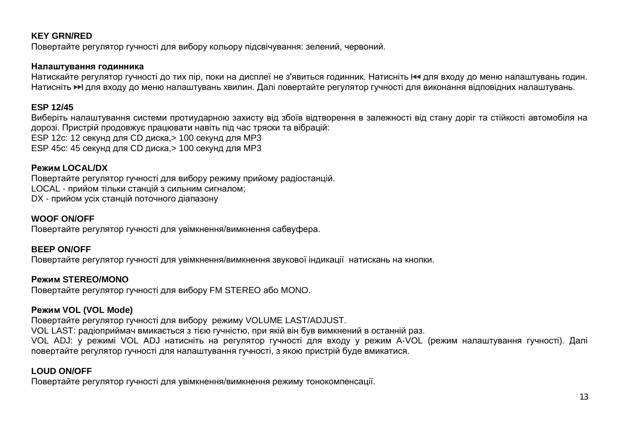# **KEY GRN/RED**

Повертайте регулятор гучності для вибору кольору підсвічування: зелений, червоний.

#### Налаштування годинника

Натискайте регулятор гучності до тих пір, поки на дисплеї не з'явиться годинник. Натисніть № для входу до меню налаштувань годин. Натисніть → для входу до меню налаштувань хвилин. Далі повертайте регулятор гучності для виконання відповідних налаштувань.

## **ESP 12/45**

Виберіть налаштування системи протиударною захисту від збоїв відтворення в залежності від стану доріг та стійкості автомобіля на дорозі. Пристрій продовжує працювати навіть під час тряски та вібрацій: ESP 12c: 12 секунд для CD диска, > 100 секунд для MP3 ESP 45c: 45 секунд для CD диска, > 100 секунд для MP3

# **Режим LOCAL/DX**

Повертайте регулятор гучності для вибору режиму прийому радіостанцій. LOCAL - прийом тільки станцій з сильним сигналом; DX - прийом усіх станцій поточного діапазону

#### **WOOF ON/OFF**

Повертайте регулятор гучності для увімкнення/вимкнення сабвуфера.

#### **BEEP ON/OFF**

Повертайте регулятор гучності для увімкнення/вимкнення звукової індикації натискань на кнопки.

## **Режим STEREO/MONO**

Повертайте регулятор гучності для вибору FM STEREO або MONO.

## **Режим VOL (VOL Mode)**

Повертайте регулятор гучності для вибору режиму VOLUME LAST/ADJUST.

VOL LAST: радіоприймач вмикається з тією гучністю, при якій він був вимкнений в останній раз.

VOL ADJ: у режимі VOL ADJ натисніть на регулятор гучності для входу у режим A-VOL (режим налаштування гучності). Далі повертайте регулятор гучності для налаштування гучності, з якою пристрій буде вмикатися.

## **LOUD ON/OFF**

Повертайте регулятор гучності для увімкнення/вимкнення режиму тонокомпенсації.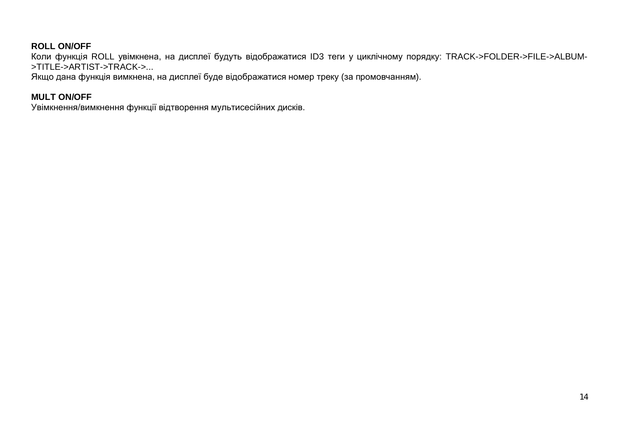## **ROLL ON/OFF**

Коли функція ROLL увімкнена, на дисплеї будуть відображатися ID3 теги у циклічному порядку: TRACK->FOLDER->FILE->ALBUM->TITLE->ARTIST->TRACK->...

Якщо дана функція вимкнена, на дисплеї буде відображатися номер треку (за промовчанням).

## **MULT ON/OFF**

Увімкнення/вимкнення функції відтворення мультисесійних дисків.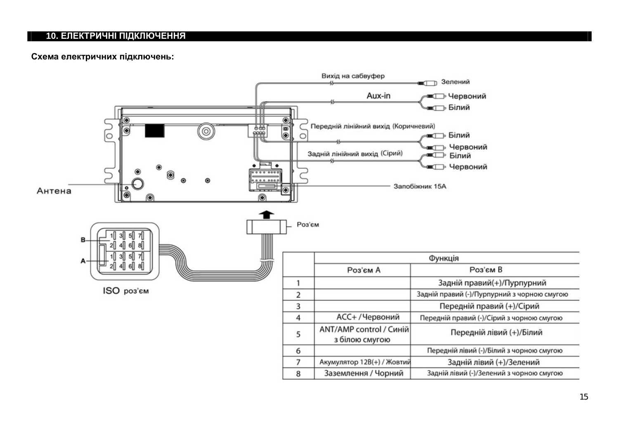#### **10. ЕЛЕКТРИЧНІ ПІДКЛЮЧЕННЯ**

#### Схема електричних підключень:

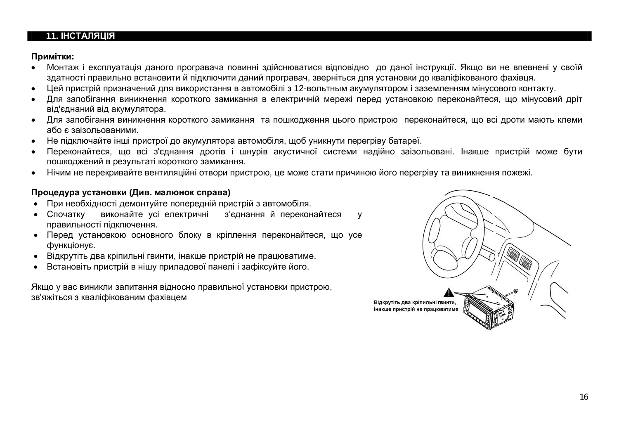#### **11. ІНСТАЛЯЦІЯ**

#### **Примітки:**

- Монтаж і експлуатація даного програвача повинні здійснюватися відповідно до даної інструкції. Якщо ви не впевнені у своїй здатності правильно встановити й підключити даний програвач, зверніться для установки до кваліфікованого фахівця.
- Цей пристрій призначений для використання в автомобілі з 12-вольтным акумулятором і заземленням мінусового контакту.
- Для запобігання виникнення короткого замикання в електричній мережі перед установкою переконайтеся, що мінусовий дріт від'єднаний від акумулятора.
- Для запобігання виникнення короткого замикання та пошкодження цього пристрою переконайтеся, що всі дроти мають клеми або є заізольованими.
- Не підключайте інші пристрої до акумулятора автомобіля, щоб уникнути перегріву батареї.
- Переконайтеся, що всі з'єднання дротів і шнурів акустичної системи надійно заізольовані. Інакше пристрій може бути пошкоджений в результаті короткого замикання.
- Нічим не перекривайте вентиляційні отвори пристрою, це може стати причиною його перегріву та виникнення пожежі.

# Процедура установки (Див. малюнок справа)

- При необхідності демонтуйте попередній пристрій з автомобіля.
- Спочатку виконайте усі електричні з'єднання й переконайтеся у правильності підключення.
- Перед установкою основного блоку в кріплення переконайтеся, що усе функціонує.
- Відкрутіть два кріпильні гвинти, інакше пристрій не працюватиме.
- Встановіть пристрій в нішу приладової панелі і зафіксуйте його.

Якщо у вас виникли запитання відносно правильної установки пристрою, зв'яжіться з кваліфікованим фахівцем

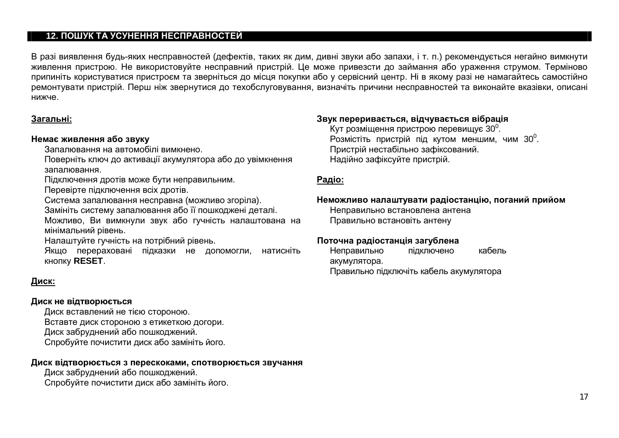#### **12. ПОШУК ТА УСУНЕННЯ НЕСПРАВНОСТЕЙ**

В разі виявлення будь-яких несправностей (дефектів, таких як дим, дивні звуки або запахи, і т. п.) рекомендується негайно вимкнути живлення пристрою. Не використовуйте несправний пристрій. Це може привезсти до займання або ураження струмом. Терміново припиніть користуватися пристроєм та зверніться до місця покупки або у сервісний центр. Ні в якому разі не намагайтесь самостійно ремонтувати пристрій. Перш ніж звернутися до техобслуговування, визначіть причини несправностей та виконайте вказівки, описані нижче.

#### $3a$ гальні:

#### Немає живлення або звуку

Запалювання на автомобілі вимкнено

Поверніть ключ до активації акумулятора або до увімкнення запалювання.

Підключення дротів може бути неправильним.

Перевірте підключення всіх дротів.

Система запалювання несправна (можливо згоріла).

Замініть систему запалювання або її пошкоджені деталі.

Можливо. Ви вимкнули звук або гучність налаштована на мінімальний рівень.

Налаштуйте гучність на потрібний рівень.

Якшо перераховані підказки не допомогли, натисніть ɤɧɨɩɤɭ **RESET**.

# **Ⱦɢɫɤ:**

#### Диск не відтворюється

Диск вставлений не тією стороною. Вставте диск стороною з етикеткою догори. Диск забруднений або пошкоджений.

Спробуйте почистити диск або замініть його.

#### Диск відтворюється з перескоками, спотворюється звучання

Диск забруднений або пошкоджений.

Спробуйте почистити диск або замініть його.

#### Звук переривається, відчувається вібрація

Кут розміщення пристрою перевищує 30 $^{\rm 0}$ . Розмістіть пристрій під кутом меншим, чим 30<sup>0</sup>. Пристрій нестабільно зафіксований. Надійно зафіксуйте пристрій.

#### **Радіо:**

#### Неможливо налаштувати радіостанцію, поганий прийом

Неправильно встановлена антена Правильно встановіть антену

#### Поточна радіостанція загублена

Неправильно підключено кабель акумулятора. Правильно підключіть кабель акумулятора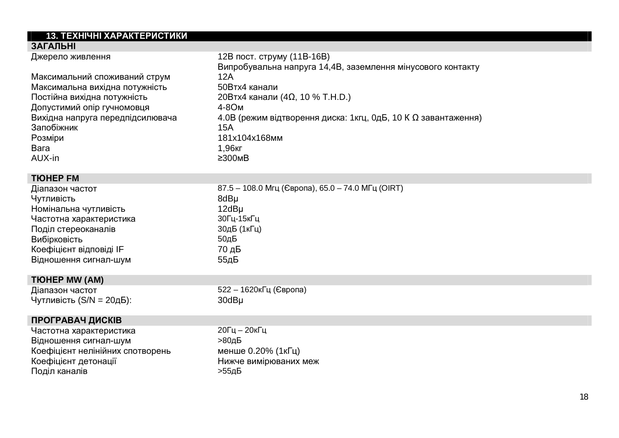## 13. ТЕХНІЧНІ ХАРАКТЕРИСТИКИ

#### <mark>ЗАГАЛЬН</mark>І

| 12В пост. струму (11В-16В)                                     |
|----------------------------------------------------------------|
| Випробувальна напруга 14,4В, заземлення мінусового контакту    |
| 12A                                                            |
| 50Втх4 канали                                                  |
| 20Втх4 канали (4Ω, 10 % Т.Н.D.)                                |
| $4-8$ OM                                                       |
| 4.0В (режим відтворення диска: 1кгц, 0дБ, 10 К Ω завантаження) |
| 15A                                                            |
| 181x104x168MM                                                  |
| 1.96кг                                                         |
| $\geq 300 \text{MB}$                                           |
|                                                                |

| <b>TIOHEP FM</b>                     |                                                   |
|--------------------------------------|---------------------------------------------------|
|                                      |                                                   |
| Діапазон частот                      | 87.5 - 108.0 Мгц (Європа), 65.0 - 74.0 МГц (OIRT) |
| Чутливість                           | 8dBµ                                              |
| Номінальна чутливість                | $12dB\mu$                                         |
| Частотна характеристика              | 30Гц-15кГц                                        |
| Поділ стереоканалів                  | 30дБ (1кГц)                                       |
| Вибірковість                         | 50 <sub>4</sub> 5                                 |
| Коефіцієнт відповіді IF              | $70 \mu$ Б                                        |
| Відношення сигнал-шум                | 55дБ                                              |
|                                      |                                                   |
| <b>TIOHEP MW (AM)</b>                |                                                   |
| Діапазон частот                      | 522 - 1620кГц (Європа)                            |
| Чутливість $(S/N = 20\mu\text{b})$ : | 30dBµ                                             |
|                                      |                                                   |
| ПРОГРАВАЧ ДИСКІВ                     |                                                   |
| Частотна характеристика              | 20Гц – 20кГц                                      |
| Відношення сигнал-шум                | >80дБ                                             |
| Коефіцієнт нелінійних спотворень     | менше 0.20% (1кГц)                                |
| Коефіцієнт детонації                 | Нижче вимірюваних меж                             |
| Поділ каналів                        | >55дБ                                             |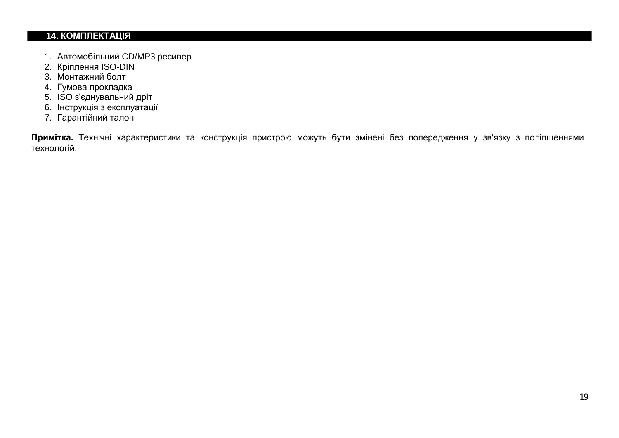## **14. КОМПЛЕКТАЦІЯ**

- 1. Автомобільний CD/MP3 ресивер
- 2. Кріплення ISO-DIN
- 3. Монтажний болт
- 4. Гумова прокладка
- 5. ISO з'єднувальний дріт
- 6. Інструкція з експлуатації
- 7. Гарантійний талон

**Примітка.** Технічні характеристики та конструкція пристрою можуть бути змінені без попередження у зв'язку з поліпшеннями технологій.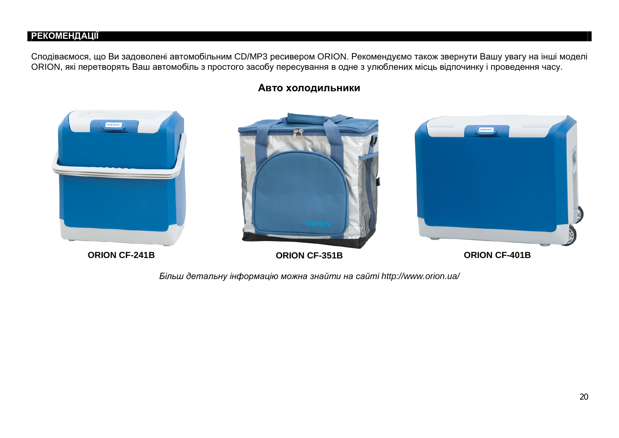## **ГРЕКОМЕНДАЦІЇ**

Сподіваємося, що Ви задоволені автомобільним CD/MP3 ресивером ORION. Рекомендуємо також звернути Вашу увагу на інші моделі ORION, які перетворять Ваш автомобіль з простого засобу пересування в одне з улюблених місць відпочинку і проведення часу.



# Авто холодильники

*Ȼɿɥɶɲɞɟɬɚɥɶɧɭɿɧɮɨɪɦɚɰɿɸɦɨɠɧɚɡɧɚɣɬɢɧɚɫɚɣɬɿ <http://www.orion.ua/>*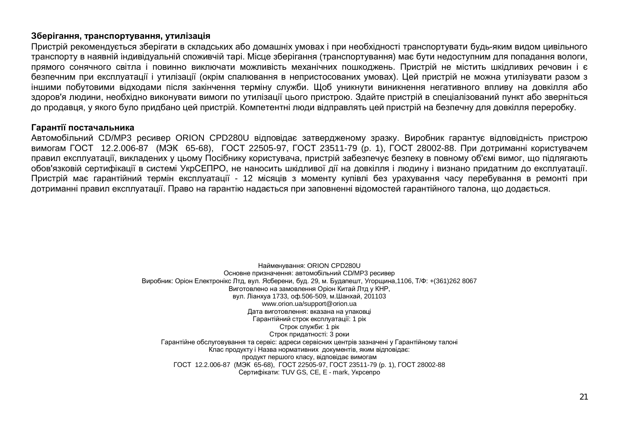#### Зберігання, транспортування, утилізація

Пристрій рекомендується зберігати в складських або домашніх умовах і при необхідності транспортувати будь-яким видом цивільного транспорту в наявній індивідуальній споживчій тарі. Місце зберігання (транспортування) має бути недоступним для попадання вологи, прямого сонячного світла і повинно виключати можливість механічних пошкоджень. Пристрій не містить шкідливих речовин і є безпечним при експлуатації і утилізації (окрім спалювання в непристосованих умовах). Цей пристрій не можна утилізувати разом з іншими побутовими відходами після закінчення терміну служби. Щоб уникнути виникнення негативного впливу на довкілля або здоров'я людини, необхідно виконувати вимоги по утилізації цього пристрою. Здайте пристрій в спеціалізований пункт або зверніться до продавця, у якого було придбано цей пристрій. Компетентні люди відправлять цей пристрій на безпечну для довкілля переробку.

#### Гарантії постачальника

Автомобільний CD/MP3 ресивер ORION CPD280U відповідає затвердженому зразку. Виробник гарантує відповідність пристрою вимогам ГОСТ 12.2.006-87 (МЭК 65-68), ГОСТ 22505-97, ГОСТ 23511-79 (р. 1), ГОСТ 28002-88. При дотриманні користувачем правил експлуатації, викладених у цьому Посібнику користувача, пристрій забезпечує безпеку в повному об'ємі вимог, що підлягають обов'язковій сертифікації в системі УкрСЕПРО, не наносить шкідливої дії на довкілля і людину і визнано придатним до експлуатації. Пристрій має гарантійний термін експлуатації - 12 місяців з моменту купівлі без урахування часу перебування в ремонті при дотриманні правил експлуатації. Право на гарантію надається при заповненні відомостей гарантійного талона, що додається.

> Hайменування: ORION CPD280U Основне призначення: автомобільний CD/MP3 ресивер Виробник: Оріон Електронікс Лтд, вул. Ясберени, буд. 29, м. Будапешт, Угорщина,1106, Т/Ф: +(361)262 8067 Виготовлено на замовлення Оріон Китай Лтд у КНР, вул. Ліанхуа 1733, оф.506-509, м. Шанхай, 201103 [www.orion.ua/support@orion.ua](http://www.orion.ua/support@orion.ua) Дата виготовлення: вказана на упаковці Гарантійний строк експлуатації: 1 рік Строк служби: 1 рік Строк придатності: 3 роки Гарантійне обслуговування та сервіс: адреси сервісних центрів зазначені у Гарантійному талоні Клас продукту і Назва нормативних документів, яким відповідає: продукт першого класу, відповідає вимогам  $\overline{TOCT}$  12.2.006-87 (MGK 65-68),  $\overline{TOCT}$  22505-97,  $\overline{TOCT}$  23511-79 (p. 1),  $\overline{TOCT}$  28002-88 Сертифікати: TUV GS, CE, E - mark, Укрсепро